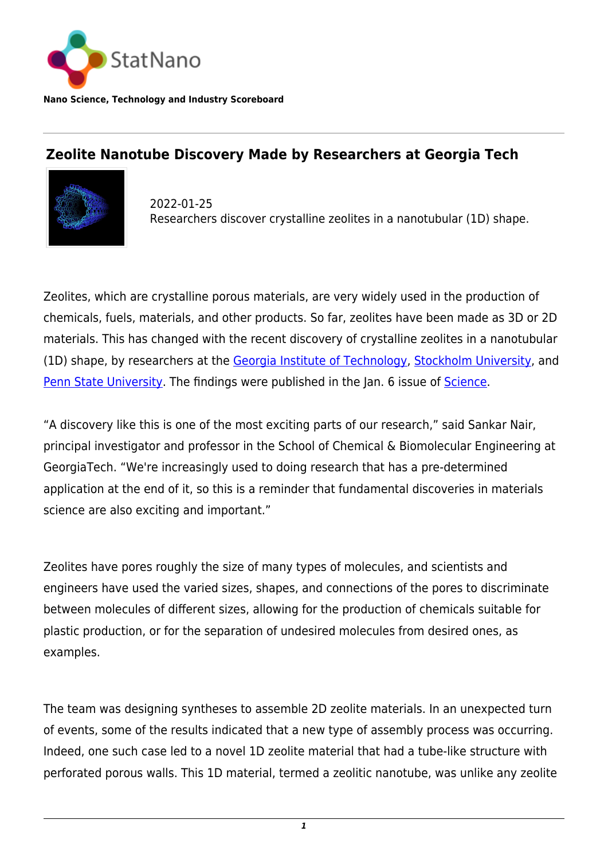

**Nano Science, Technology and Industry Scoreboard**

## **Zeolite Nanotube Discovery Made by Researchers at Georgia Tech**



2022-01-25 Researchers discover crystalline zeolites in a nanotubular (1D) shape.

Zeolites, which are crystalline porous materials, are very widely used in the production of chemicals, fuels, materials, and other products. So far, zeolites have been made as 3D or 2D materials. This has changed with the recent discovery of crystalline zeolites in a nanotubular (1D) shape, by researchers at the [Georgia Institute of Technology,](https://statnano.com/org/Georgia-Institute-of-Technology) [Stockholm University](https://statnano.com/org/Stockholm-University), and [Penn State University](https://statnano.com/org/Pennsylvania-State-University). The findings were published in the Jan. 6 issue of [Science.](https://www.science.org/doi/10.1126/science.abg3793)

"A discovery like this is one of the most exciting parts of our research," said Sankar Nair, principal investigator and professor in the School of Chemical & Biomolecular Engineering at GeorgiaTech. "We're increasingly used to doing research that has a pre-determined application at the end of it, so this is a reminder that fundamental discoveries in materials science are also exciting and important."

Zeolites have pores roughly the size of many types of molecules, and scientists and engineers have used the varied sizes, shapes, and connections of the pores to discriminate between molecules of different sizes, allowing for the production of chemicals suitable for plastic production, or for the separation of undesired molecules from desired ones, as examples.

The team was designing syntheses to assemble 2D zeolite materials. In an unexpected turn of events, some of the results indicated that a new type of assembly process was occurring. Indeed, one such case led to a novel 1D zeolite material that had a tube-like structure with perforated porous walls. This 1D material, termed a zeolitic nanotube, was unlike any zeolite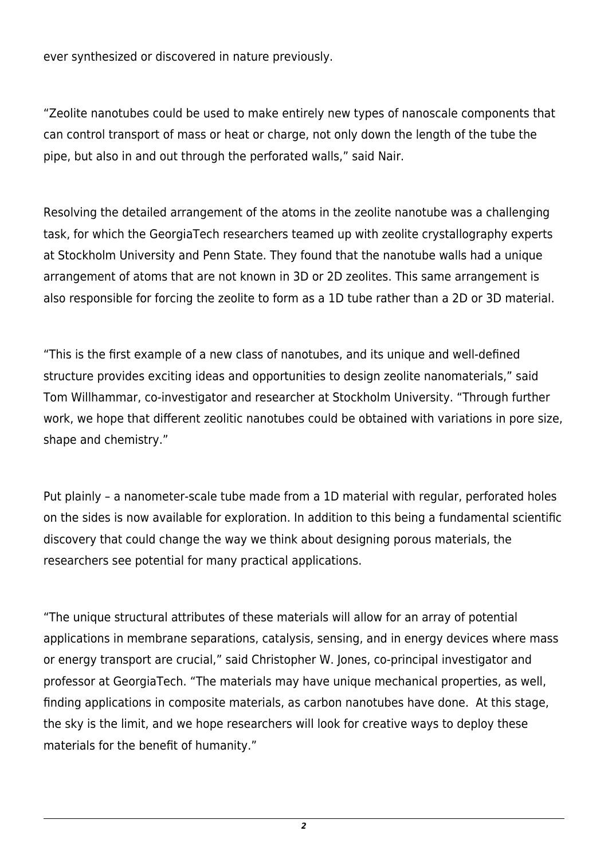ever synthesized or discovered in nature previously.

"Zeolite nanotubes could be used to make entirely new types of nanoscale components that can control transport of mass or heat or charge, not only down the length of the tube the pipe, but also in and out through the perforated walls," said Nair.

Resolving the detailed arrangement of the atoms in the zeolite nanotube was a challenging task, for which the GeorgiaTech researchers teamed up with zeolite crystallography experts at Stockholm University and Penn State. They found that the nanotube walls had a unique arrangement of atoms that are not known in 3D or 2D zeolites. This same arrangement is also responsible for forcing the zeolite to form as a 1D tube rather than a 2D or 3D material.

"This is the first example of a new class of nanotubes, and its unique and well-defined structure provides exciting ideas and opportunities to design zeolite nanomaterials," said Tom Willhammar, co-investigator and researcher at Stockholm University. "Through further work, we hope that different zeolitic nanotubes could be obtained with variations in pore size, shape and chemistry."

Put plainly – a nanometer-scale tube made from a 1D material with regular, perforated holes on the sides is now available for exploration. In addition to this being a fundamental scientific discovery that could change the way we think about designing porous materials, the researchers see potential for many practical applications.

"The unique structural attributes of these materials will allow for an array of potential applications in membrane separations, catalysis, sensing, and in energy devices where mass or energy transport are crucial," said Christopher W. Jones, co-principal investigator and professor at GeorgiaTech. "The materials may have unique mechanical properties, as well, finding applications in composite materials, as carbon nanotubes have done. At this stage, the sky is the limit, and we hope researchers will look for creative ways to deploy these materials for the benefit of humanity."